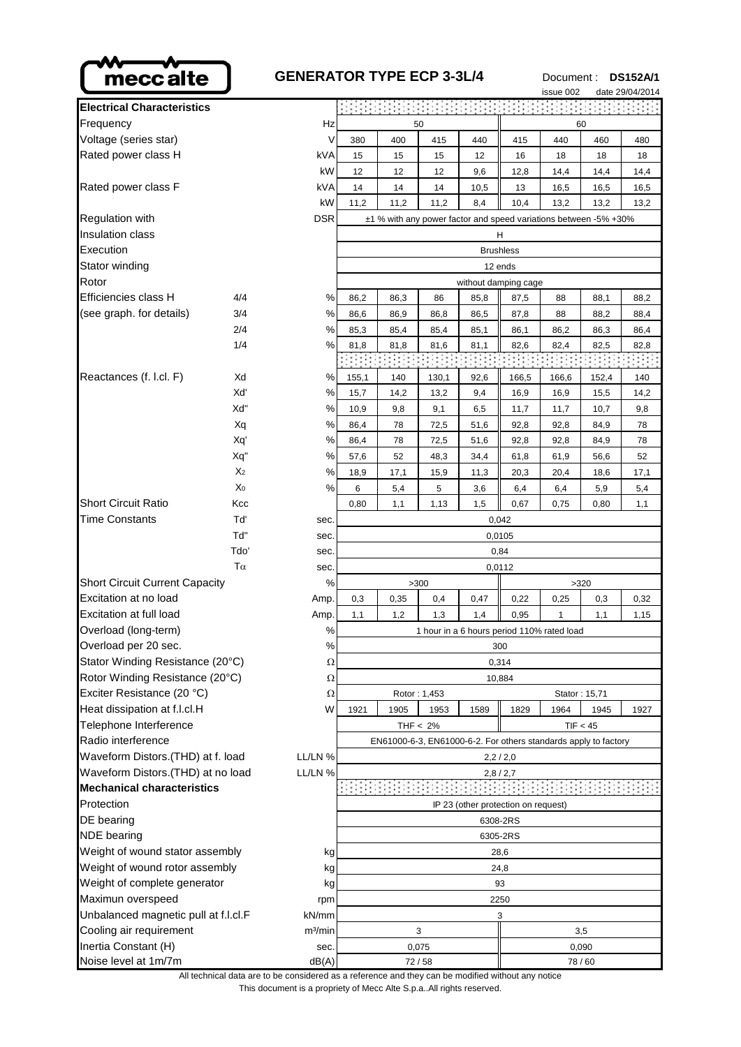

| meccalte                                     |                | <b>GENERATOR TYPE ECP 3-3L/4</b> |                                                                                                                                                      |        |              |                                                                 |         | Document: |               | <b>DS152A/1</b> |  |
|----------------------------------------------|----------------|----------------------------------|------------------------------------------------------------------------------------------------------------------------------------------------------|--------|--------------|-----------------------------------------------------------------|---------|-----------|---------------|-----------------|--|
|                                              |                |                                  |                                                                                                                                                      |        |              |                                                                 |         | issue 002 |               | date 29/04/2014 |  |
| <b>Electrical Characteristics</b>            |                |                                  |                                                                                                                                                      |        |              |                                                                 |         |           |               |                 |  |
| Frequency                                    |                | Hz                               |                                                                                                                                                      |        | 50           |                                                                 |         |           | 60            |                 |  |
| Voltage (series star)                        |                | V                                | 380                                                                                                                                                  | 400    | 415          | 440                                                             | 415     | 440       | 460           | 480             |  |
| Rated power class H                          |                | kVA                              | 15                                                                                                                                                   | 15     | 15           | 12                                                              | 16      | 18        | 18            | 18              |  |
|                                              |                | kW                               | 12                                                                                                                                                   | 12     | 12           | 9,6                                                             | 12,8    | 14,4      | 14,4          | 14,4            |  |
| Rated power class F                          |                | kVA                              | 14                                                                                                                                                   | 14     | 14           | 10,5                                                            | 13      | 16,5      | 16,5          | 16,5            |  |
|                                              |                | kW                               | 11,2                                                                                                                                                 | 11,2   | 11,2         | 8,4                                                             | 10,4    | 13,2      | 13,2          | 13,2            |  |
| <b>Regulation with</b>                       |                | <b>DSR</b>                       | ±1 % with any power factor and speed variations between -5% +30%                                                                                     |        |              |                                                                 |         |           |               |                 |  |
| <b>Insulation class</b>                      |                |                                  | Н                                                                                                                                                    |        |              |                                                                 |         |           |               |                 |  |
| Execution                                    |                |                                  | <b>Brushless</b>                                                                                                                                     |        |              |                                                                 |         |           |               |                 |  |
| Stator winding                               |                |                                  |                                                                                                                                                      |        |              |                                                                 | 12 ends |           |               |                 |  |
| Rotor                                        |                |                                  |                                                                                                                                                      |        |              | without damping cage                                            |         |           |               |                 |  |
| Efficiencies class H                         | 4/4            | %                                | 86,2                                                                                                                                                 | 86,3   | 86           | 85,8                                                            | 87,5    | 88        | 88,1          | 88,2            |  |
| (see graph. for details)                     | 3/4            | $\%$                             | 86,6                                                                                                                                                 | 86,9   | 86,8         | 86,5                                                            | 87,8    | 88        | 88,2          | 88,4            |  |
|                                              | 2/4            | %                                | 85,3                                                                                                                                                 | 85,4   | 85,4         | 85,1                                                            | 86,1    | 86,2      | 86,3          | 86,4            |  |
|                                              | 1/4            | %                                | 81,8                                                                                                                                                 | 81,8   | 81,6         | 81,1                                                            | 82,6    | 82,4      | 82,5          | 82,8            |  |
|                                              |                |                                  |                                                                                                                                                      |        |              |                                                                 |         |           |               |                 |  |
| Reactances (f. l.cl. F)                      | Xd             | %                                | 155,1                                                                                                                                                | 140    | 130,1        | 92,6                                                            | 166,5   | 166,6     | 152,4         | 140             |  |
|                                              | Xď             | %                                | 15,7                                                                                                                                                 | 14,2   | 13,2         | 9,4                                                             | 16,9    | 16,9      | 15,5          | 14,2            |  |
|                                              | Xd"            | %                                | 10,9                                                                                                                                                 | 9,8    | 9,1          | 6,5                                                             | 11,7    | 11,7      | 10,7          | 9,8             |  |
|                                              | Xq             | %                                | 86,4                                                                                                                                                 | 78     | 72,5         | 51,6                                                            | 92,8    | 92,8      | 84,9          | 78              |  |
|                                              | Xq'            | $\%$                             | 86,4                                                                                                                                                 | 78     | 72,5         | 51,6                                                            | 92,8    | 92,8      | 84,9          | 78              |  |
|                                              | Xq"            | $\%$                             | 57,6                                                                                                                                                 | 52     | 48,3         | 34,4                                                            | 61,8    | 61,9      | 56,6          | 52              |  |
|                                              | X <sub>2</sub> |                                  |                                                                                                                                                      |        |              | 11,3                                                            | 20,3    | 20,4      | 18,6          | 17,1            |  |
|                                              | X <sub>0</sub> |                                  |                                                                                                                                                      |        |              | 3,6                                                             | 6,4     | 6,4       | 5,9           | 5,4             |  |
| <b>Short Circuit Ratio</b>                   |                |                                  |                                                                                                                                                      |        |              | 1,5                                                             |         |           |               |                 |  |
| Time Constants                               | Kcc<br>Tď      |                                  |                                                                                                                                                      |        |              |                                                                 | 0,67    | 0,75      | 0,80          | 1,1             |  |
|                                              |                |                                  | 0,042                                                                                                                                                |        |              |                                                                 |         |           |               |                 |  |
|                                              | Td"            |                                  |                                                                                                                                                      |        |              |                                                                 | 0,0105  |           |               |                 |  |
|                                              | Tdo'           |                                  |                                                                                                                                                      | 0,84   |              |                                                                 |         |           |               |                 |  |
|                                              | $T\alpha$      |                                  | $\%$<br>18,9<br>17,1<br>15,9<br>%<br>6<br>5,4<br>5<br>0,80<br>1,1<br>1,13<br>sec.<br>sec.<br>sec.<br>sec.<br>%<br>>300<br>Amp.<br>0,3<br>0,35<br>0,4 |        |              | 0,0112                                                          |         |           |               |                 |  |
| <b>Short Circuit Current Capacity</b>        |                |                                  |                                                                                                                                                      |        |              |                                                                 |         |           | >320          |                 |  |
| Excitation at no load                        |                |                                  |                                                                                                                                                      |        |              | 0,47                                                            | 0,22    | 0,25      | 0,3           | 0,32            |  |
| <b>Excitation at full load</b>               |                | Amp.                             | 1,1                                                                                                                                                  | 1,2    | 1,3          | 1,4                                                             | 0,95    | 1         | 1,1           | 1,15            |  |
| Overload (long-term)<br>$\%$                 |                |                                  | 1 hour in a 6 hours period 110% rated load                                                                                                           |        |              |                                                                 |         |           |               |                 |  |
| Overload per 20 sec.                         |                | %                                | 300                                                                                                                                                  |        |              |                                                                 |         |           |               |                 |  |
| Stator Winding Resistance (20°C)             |                | Ω                                | 0,314                                                                                                                                                |        |              |                                                                 |         |           |               |                 |  |
| Rotor Winding Resistance (20°C)              |                | Ω                                |                                                                                                                                                      | 10,884 |              |                                                                 |         |           |               |                 |  |
| Exciter Resistance (20 °C)                   |                | Ω                                |                                                                                                                                                      |        | Rotor: 1,453 |                                                                 |         |           | Stator: 15,71 |                 |  |
| Heat dissipation at f.l.cl.H                 |                | W                                | 1921<br>1905<br>1953<br>1589<br>1829<br>1964<br>1945<br>1927                                                                                         |        |              |                                                                 |         |           |               |                 |  |
| Telephone Interference                       |                |                                  |                                                                                                                                                      |        | THF $< 2\%$  |                                                                 |         |           | TIF < 45      |                 |  |
| Radio interference                           |                |                                  |                                                                                                                                                      |        |              | EN61000-6-3, EN61000-6-2. For others standards apply to factory |         |           |               |                 |  |
| Waveform Distors.(THD) at f. load<br>LL/LN % |                |                                  |                                                                                                                                                      |        |              | 2,2/2,0                                                         |         |           |               |                 |  |
| Waveform Distors.(THD) at no load            |                | LL/LN %                          |                                                                                                                                                      |        |              |                                                                 | 2,8/2,7 |           |               |                 |  |
| <b>Mechanical characteristics</b>            |                |                                  |                                                                                                                                                      |        |              |                                                                 |         |           |               |                 |  |
| Protection                                   |                |                                  | IP 23 (other protection on request)                                                                                                                  |        |              |                                                                 |         |           |               |                 |  |
|                                              |                |                                  |                                                                                                                                                      |        |              |                                                                 |         |           |               |                 |  |

| <b>Electrical Characteristics</b>             |                       |                     |                                                         |       |                      |                                     |       |            |         |  |  |
|-----------------------------------------------|-----------------------|---------------------|---------------------------------------------------------|-------|----------------------|-------------------------------------|-------|------------|---------|--|--|
| Frequency<br>Hz                               |                       |                     |                                                         | 50    | 60                   |                                     |       |            |         |  |  |
| Voltage (series star)                         |                       | V                   | 380                                                     | 400   | 415                  | 440                                 | 415   | 440        |         |  |  |
| Rated power class H                           |                       | kVA                 | 15                                                      | 15    | 15                   | 12                                  | 16    | 18         |         |  |  |
|                                               |                       | kW                  | 12                                                      | 12    | 12                   | 9,6                                 | 12,8  | 14,4       |         |  |  |
| Rated power class F                           |                       | kVA                 | 14                                                      | 14    | 14                   | 10,5                                | 13    | 16,5       |         |  |  |
|                                               |                       | kW                  | 11,2                                                    | 11,2  | 11,2                 | 8,4                                 | 10,4  | 13,2       |         |  |  |
| Regulation with                               |                       | <b>DSR</b>          | ±1 % with any power factor and speed variations between |       |                      |                                     |       |            |         |  |  |
| Insulation class                              |                       |                     | H                                                       |       |                      |                                     |       |            |         |  |  |
| Execution                                     |                       |                     | <b>Brushless</b>                                        |       |                      |                                     |       |            |         |  |  |
| Stator winding                                |                       |                     | 12 ends                                                 |       |                      |                                     |       |            |         |  |  |
| Rotor                                         |                       |                     |                                                         |       | without damping cage |                                     |       |            |         |  |  |
| Efficiencies class H                          | 4/4                   | ℅                   | 86,2                                                    | 86,3  | 86                   | 85,8                                | 87,5  | 88         |         |  |  |
| (see graph. for details)                      | 3/4                   | $\%$                | 86,6                                                    | 86,9  | 86,8                 | 86,5                                | 87,8  | 88         |         |  |  |
|                                               | 2/4                   | %                   | 85,3                                                    | 85,4  | 85,4                 | 85,1                                | 86,1  | 86,2       |         |  |  |
|                                               | 1/4                   | %                   | 81,8                                                    | 81,8  | 81,6                 | 81,1                                | 82,6  | 82,4       |         |  |  |
|                                               |                       |                     |                                                         |       |                      |                                     |       |            |         |  |  |
| Reactances (f. l.cl. F)                       | Xd                    | %                   | 155,1                                                   | 140   | 130,1                | 92,6                                | 166,5 | 166,6      |         |  |  |
|                                               | Xď                    | %                   | 15,7                                                    | 14,2  | 13,2                 | 9,4                                 | 16,9  | 16,9       |         |  |  |
|                                               | Xď"                   | $\%$                | 10,9                                                    | 9,8   | 9,1                  | 6,5                                 | 11,7  | 11,7       |         |  |  |
|                                               | Xq                    | %                   | 86,4                                                    | 78    | 72,5                 | 51,6                                | 92,8  | 92,8       |         |  |  |
|                                               | Xq'                   | $\%$                | 86,4                                                    | 78    | 72,5                 | 51,6                                | 92,8  | 92,8       |         |  |  |
|                                               | Xq"<br>X <sub>2</sub> | %<br>%              | 57,6                                                    | 52    | 48,3                 | 34,4                                | 61,8  | 61,9       |         |  |  |
|                                               | X <sub>0</sub>        |                     | 18,9                                                    | 17,1  | 15,9                 | 11,3                                | 20,3  | 20,4       |         |  |  |
| Short Circuit Ratio                           | Kcc                   | %                   | 6                                                       | 5,4   | 5                    | 3,6                                 | 6,4   | 6,4        |         |  |  |
| <b>Time Constants</b>                         | Tď                    | sec.                | 0,80                                                    | 1,1   | 1,13                 | 1,5                                 | 0,67  | 0,75       |         |  |  |
|                                               | Td"                   | sec.                | 0,042<br>0,0105                                         |       |                      |                                     |       |            |         |  |  |
|                                               | Tdo'                  | sec.                | 0,84                                                    |       |                      |                                     |       |            |         |  |  |
|                                               | $T\alpha$             | sec.                | 0,0112                                                  |       |                      |                                     |       |            |         |  |  |
| <b>Short Circuit Current Capacity</b><br>%    |                       |                     | >300<br>>320                                            |       |                      |                                     |       |            |         |  |  |
| Excitation at no load                         |                       | Amp.                | 0,3                                                     | 0,35  | 0,4                  | 0,47                                | 0,22  | 0,25       |         |  |  |
| Excitation at full load                       |                       | Amp.                | 1,1                                                     | 1,2   | 1,3                  | 1,4                                 | 0,95  | 1          |         |  |  |
| Overload (long-term)                          |                       | %                   | 1 hour in a 6 hours period 110% rated load              |       |                      |                                     |       |            |         |  |  |
| Overload per 20 sec.                          |                       | $\%$                | 300                                                     |       |                      |                                     |       |            |         |  |  |
| Stator Winding Resistance (20°C)              |                       | 75                  | 0,314                                                   |       |                      |                                     |       |            |         |  |  |
| Rotor Winding Resistance (20°C)               |                       | Ω                   | 10,884                                                  |       |                      |                                     |       |            |         |  |  |
| Exciter Resistance (20 °C)                    |                       | Ω                   |                                                         |       | Rotor: 1,453         |                                     |       | Stator: 15 |         |  |  |
| Heat dissipation at f.l.cl.H                  |                       | W                   | 1921<br>1905<br>1953<br>1589<br>1829                    |       |                      |                                     |       | 1964       |         |  |  |
| Telephone Interference                        |                       |                     | THF $< 2\%$                                             |       |                      |                                     |       |            | TIF < 4 |  |  |
| Radio interference                            |                       |                     | EN61000-6-3, EN61000-6-2. For others standards apply    |       |                      |                                     |       |            |         |  |  |
| Waveform Distors.(THD) at f. load             |                       | LL/LN %             | 2,2/2,0                                                 |       |                      |                                     |       |            |         |  |  |
| Waveform Distors. (THD) at no load<br>LL/LN % |                       | 2,8/2,7             |                                                         |       |                      |                                     |       |            |         |  |  |
| <b>Mechanical characteristics</b>             |                       |                     |                                                         |       |                      |                                     |       |            |         |  |  |
| Protection                                    |                       |                     |                                                         |       |                      | IP 23 (other protection on request) |       |            |         |  |  |
| DE bearing                                    |                       | 6308-2RS            |                                                         |       |                      |                                     |       |            |         |  |  |
| <b>NDE</b> bearing                            |                       |                     | 6305-2RS                                                |       |                      |                                     |       |            |         |  |  |
| Weight of wound stator assembly<br>kg         |                       |                     | 28,6                                                    |       |                      |                                     |       |            |         |  |  |
| Weight of wound rotor assembly<br>kg          |                       | 24,8                |                                                         |       |                      |                                     |       |            |         |  |  |
| Weight of complete generator<br>kg            |                       |                     | 93                                                      |       |                      |                                     |       |            |         |  |  |
| Maximun overspeed                             |                       | rpm                 | 2250                                                    |       |                      |                                     |       |            |         |  |  |
| Unbalanced magnetic pull at f.l.cl.F<br>kN/mm |                       |                     | 3                                                       |       |                      |                                     |       |            |         |  |  |
| Cooling air requirement                       |                       | m <sup>3</sup> /min | 3                                                       |       |                      |                                     |       |            | 3,5     |  |  |
| Inertia Constant (H)<br>sec.                  |                       |                     | 0,075                                                   |       |                      |                                     |       | 0,090      |         |  |  |
| Noise level at 1m/7m                          |                       | dB(A)               |                                                         | 72/58 |                      |                                     |       |            | 78/60   |  |  |

This document is a propriety of Mecc Alte S.p.a..All rights reserved. All technical data are to be considered as a reference and they can be modified without any notice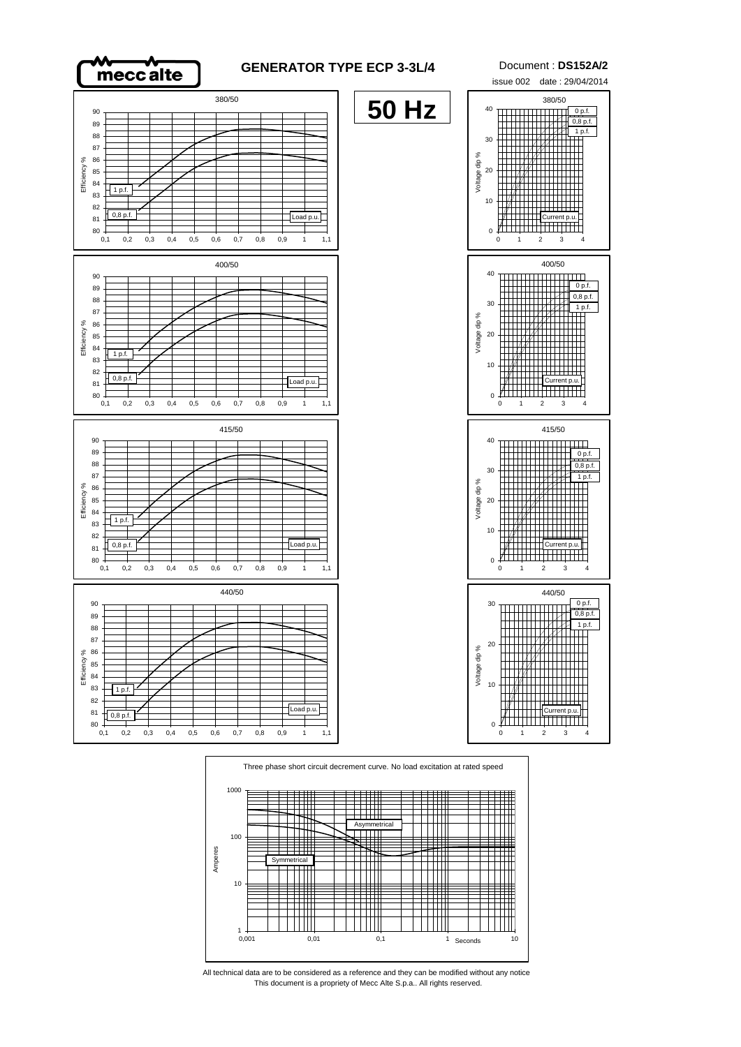

## **GENERATOR TYPE ECP 3-3L/4** Document : **DS152A/2**

**50 Hz**







0,1 0,2 0,3 0,4 0,5 0,6 0,7 0,8 0,9 1 1,1

 $80\begin{array}{c} 80 \\ 0,1 \end{array}$ 



This document is a propriety of Mecc Alte S.p.a.. All rights reserved. All technical data are to be considered as a reference and they can be modified without any notice

issue 002 date : 29/04/2014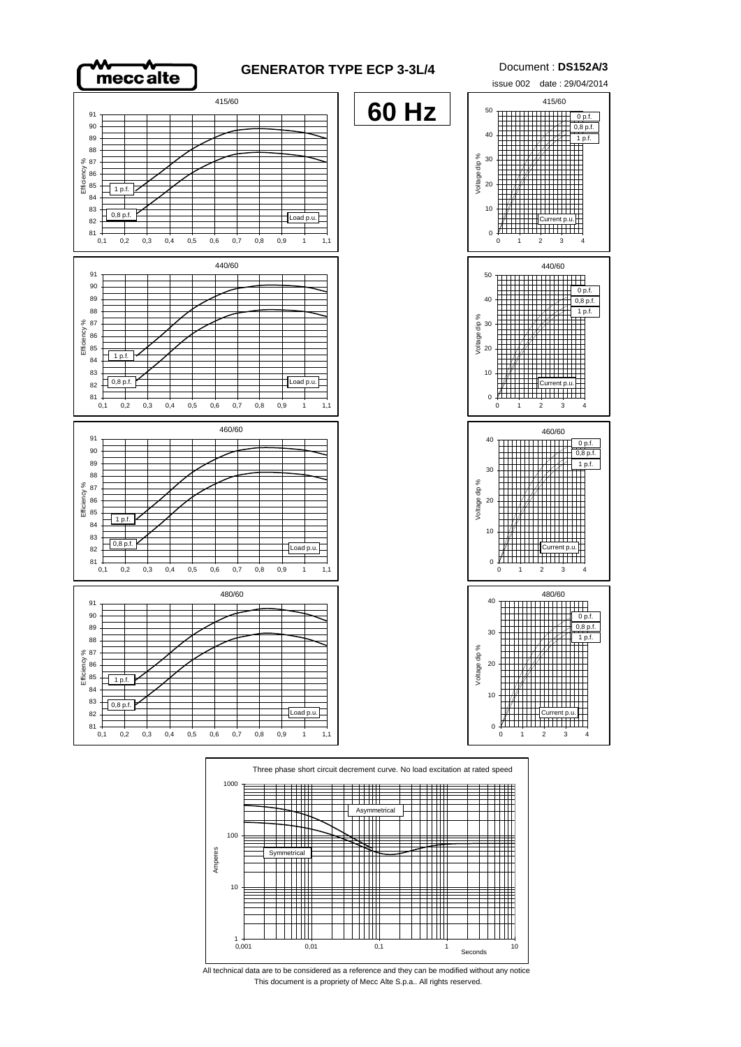



This document is a propriety of Mecc Alte S.p.a.. All rights reserved. All technical data are to be considered as a reference and they can be modified without any notice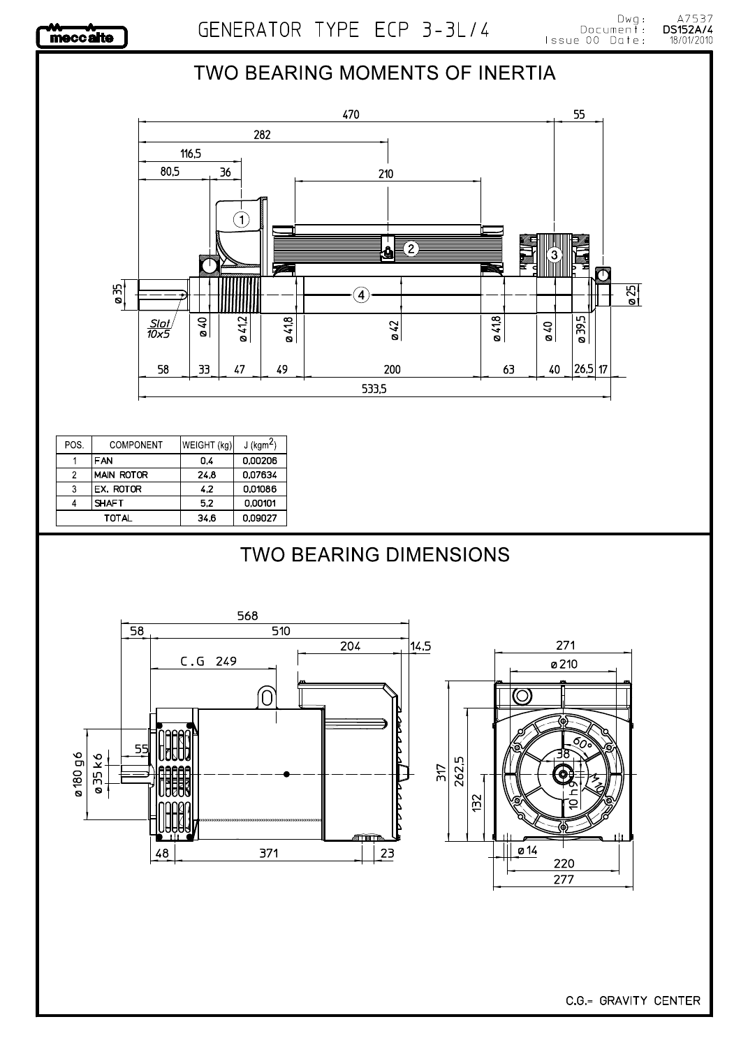

## : Dwg<br>: Document<br>:Issue 00 Date GENERATOR TYPE ECP 3-3L/4 TWO BEARING MOMENTS OF INERTIA 470 55 282 116,5 80,5 36 210  $\bigl(\widehat{\mathfrak{l}}\bigr)$ ∑2) â  $\mathfrak{D}$ ŋ ø35  $\overline{\tilde{S}}$  $\left( \widehat{\blacktriangleleft} \right)$  $0.41,8$  $0.418$ 0412 ø 39,5 070  $rac{\mathsf{S}lot}{\mathsf{10x5}}$  $\frac{\omega}{42}$  $\frac{610}{2}$ 58 33 47 49 200  $|26,5|17$ 63  $40$ 533,5 POS. COMPONENT WEIGHT (kg)  $J$  (kgm<sup>2</sup>) 0,00206  $\mathbf{1}$ FAN  $\overline{0.4}$  $\overline{2}$ **MAIN ROTOR**  $\overline{24,8}$ 0,07634  $\overline{\overline{3}}$ EX. ROTOR  $4,2$ 0,01086  $\overline{4}$ **SHAFT**  $\overline{5.2}$  $0.00101$ **TOTAL**  $34,6$ 0,09027 **TWO BEARING DIMENSIONS** 568 58  $510$  $\overline{204}$ 14.5 271  $C.G$  249 ø210  $\circ$ 0 55 ø 180 g 6 035k6 262,5  $517$ 132

 $2<sub>3</sub>$ 

371

48

C.G.= GRAVITY CENTER

 $\overline{0}$  14

220 277